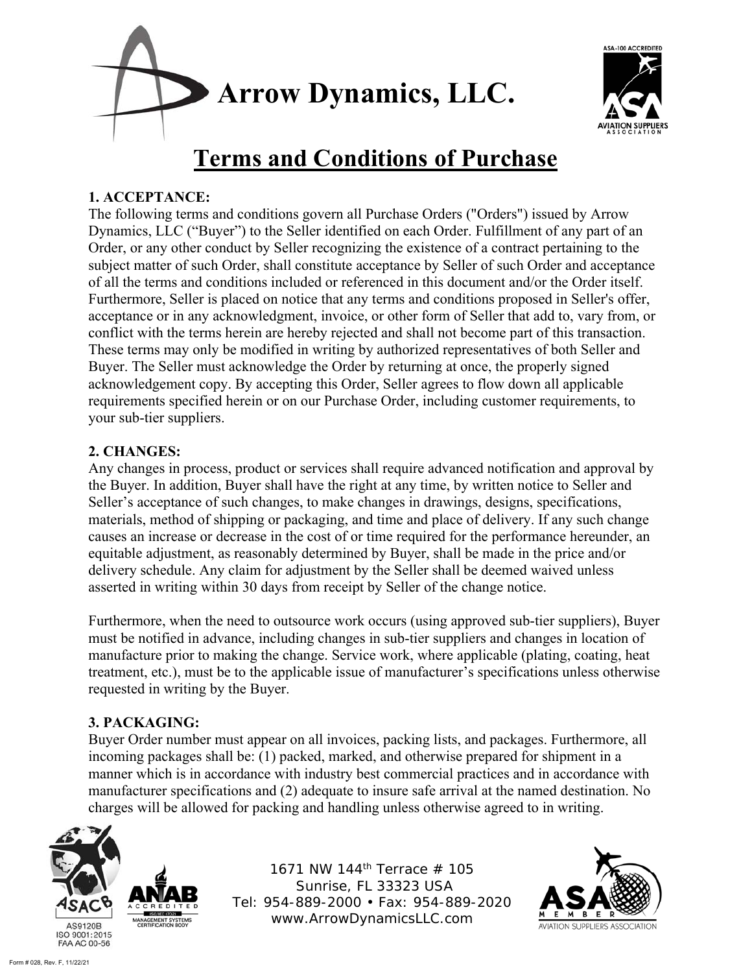



# **Terms and Conditions of Purchase**

# **1. ACCEPTANCE:**

The following terms and conditions govern all Purchase Orders ("Orders") issued by Arrow Dynamics, LLC ("Buyer") to the Seller identified on each Order. Fulfillment of any part of an Order, or any other conduct by Seller recognizing the existence of a contract pertaining to the subject matter of such Order, shall constitute acceptance by Seller of such Order and acceptance of all the terms and conditions included or referenced in this document and/or the Order itself. Furthermore, Seller is placed on notice that any terms and conditions proposed in Seller's offer, acceptance or in any acknowledgment, invoice, or other form of Seller that add to, vary from, or conflict with the terms herein are hereby rejected and shall not become part of this transaction. These terms may only be modified in writing by authorized representatives of both Seller and Buyer. The Seller must acknowledge the Order by returning at once, the properly signed acknowledgement copy. By accepting this Order, Seller agrees to flow down all applicable requirements specified herein or on our Purchase Order, including customer requirements, to your sub-tier suppliers.

# **2. CHANGES:**

Any changes in process, product or services shall require advanced notification and approval by the Buyer. In addition, Buyer shall have the right at any time, by written notice to Seller and Seller's acceptance of such changes, to make changes in drawings, designs, specifications, materials, method of shipping or packaging, and time and place of delivery. If any such change causes an increase or decrease in the cost of or time required for the performance hereunder, an equitable adjustment, as reasonably determined by Buyer, shall be made in the price and/or delivery schedule. Any claim for adjustment by the Seller shall be deemed waived unless asserted in writing within 30 days from receipt by Seller of the change notice.

Furthermore, when the need to outsource work occurs (using approved sub-tier suppliers), Buyer must be notified in advance, including changes in sub-tier suppliers and changes in location of manufacture prior to making the change. Service work, where applicable (plating, coating, heat treatment, etc.), must be to the applicable issue of manufacturer's specifications unless otherwise requested in writing by the Buyer.

# **3. PACKAGING:**

Buyer Order number must appear on all invoices, packing lists, and packages. Furthermore, all incoming packages shall be: (1) packed, marked, and otherwise prepared for shipment in a manner which is in accordance with industry best commercial practices and in accordance with manufacturer specifications and (2) adequate to insure safe arrival at the named destination. No charges will be allowed for packing and handling unless otherwise agreed to in writing.



1671 NW 144th Terrace # 105 Sunrise, FL 33323 USA Tel: 954-889-2000 • Fax: 954-889-2020 www.ArrowDynamicsLLC.com

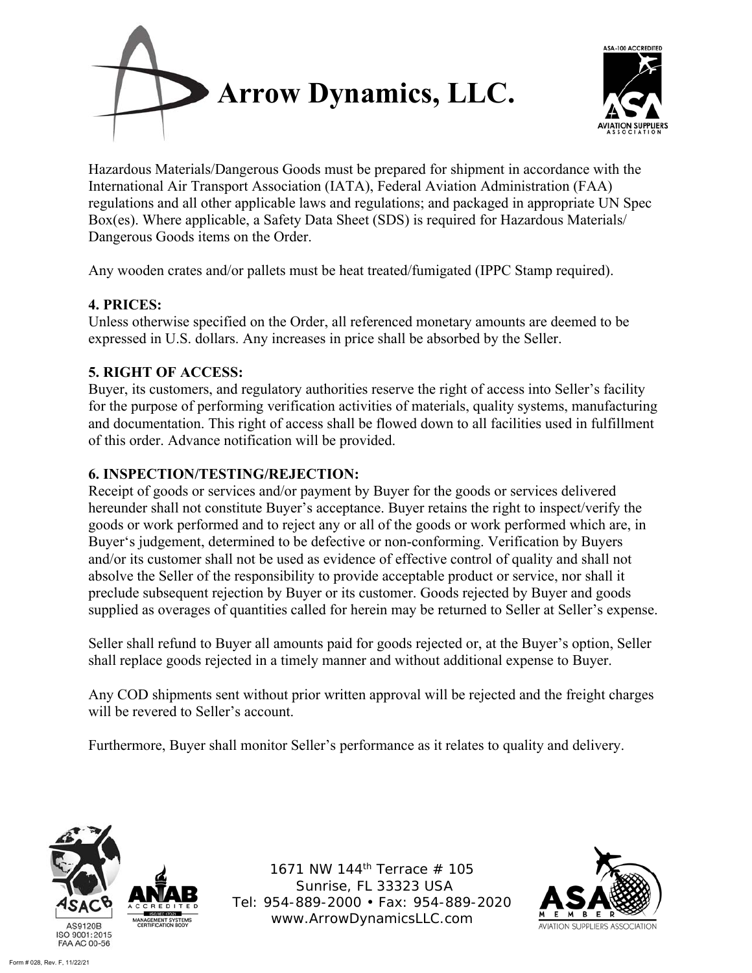



Hazardous Materials/Dangerous Goods must be prepared for shipment in accordance with the International Air Transport Association (IATA), Federal Aviation Administration (FAA) regulations and all other applicable laws and regulations; and packaged in appropriate UN Spec Box(es). Where applicable, a Safety Data Sheet (SDS) is required for Hazardous Materials/ Dangerous Goods items on the Order.

Any wooden crates and/or pallets must be heat treated/fumigated (IPPC Stamp required).

### **4. PRICES:**

Unless otherwise specified on the Order, all referenced monetary amounts are deemed to be expressed in U.S. dollars. Any increases in price shall be absorbed by the Seller.

# **5. RIGHT OF ACCESS:**

Buyer, its customers, and regulatory authorities reserve the right of access into Seller's facility for the purpose of performing verification activities of materials, quality systems, manufacturing and documentation. This right of access shall be flowed down to all facilities used in fulfillment of this order. Advance notification will be provided.

## **6. INSPECTION/TESTING/REJECTION:**

Receipt of goods or services and/or payment by Buyer for the goods or services delivered hereunder shall not constitute Buyer's acceptance. Buyer retains the right to inspect/verify the goods or work performed and to reject any or all of the goods or work performed which are, in Buyer's judgement, determined to be defective or non-conforming. Verification by Buyers and/or its customer shall not be used as evidence of effective control of quality and shall not absolve the Seller of the responsibility to provide acceptable product or service, nor shall it preclude subsequent rejection by Buyer or its customer. Goods rejected by Buyer and goods supplied as overages of quantities called for herein may be returned to Seller at Seller's expense.

Seller shall refund to Buyer all amounts paid for goods rejected or, at the Buyer's option, Seller shall replace goods rejected in a timely manner and without additional expense to Buyer.

Any COD shipments sent without prior written approval will be rejected and the freight charges will be revered to Seller's account.

Furthermore, Buyer shall monitor Seller's performance as it relates to quality and delivery.



1671 NW 144th Terrace # 105 Sunrise, FL 33323 USA Tel: 954-889-2000 • Fax: 954-889-2020 www.ArrowDynamicsLLC.com

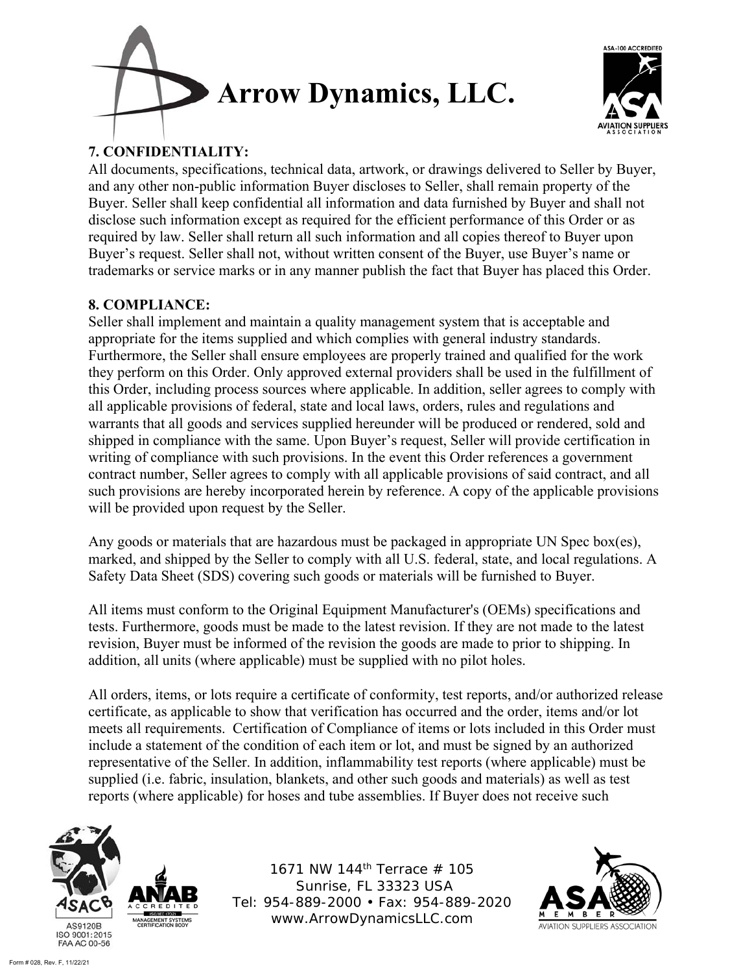



# **7. CONFIDENTIALITY:**

All documents, specifications, technical data, artwork, or drawings delivered to Seller by Buyer, and any other non-public information Buyer discloses to Seller, shall remain property of the Buyer. Seller shall keep confidential all information and data furnished by Buyer and shall not disclose such information except as required for the efficient performance of this Order or as required by law. Seller shall return all such information and all copies thereof to Buyer upon Buyer's request. Seller shall not, without written consent of the Buyer, use Buyer's name or trademarks or service marks or in any manner publish the fact that Buyer has placed this Order.

## **8. COMPLIANCE:**

Seller shall implement and maintain a quality management system that is acceptable and appropriate for the items supplied and which complies with general industry standards. Furthermore, the Seller shall ensure employees are properly trained and qualified for the work they perform on this Order. Only approved external providers shall be used in the fulfillment of this Order, including process sources where applicable. In addition, seller agrees to comply with all applicable provisions of federal, state and local laws, orders, rules and regulations and warrants that all goods and services supplied hereunder will be produced or rendered, sold and shipped in compliance with the same. Upon Buyer's request, Seller will provide certification in writing of compliance with such provisions. In the event this Order references a government contract number, Seller agrees to comply with all applicable provisions of said contract, and all such provisions are hereby incorporated herein by reference. A copy of the applicable provisions will be provided upon request by the Seller.

Any goods or materials that are hazardous must be packaged in appropriate UN Spec box(es), marked, and shipped by the Seller to comply with all U.S. federal, state, and local regulations. A Safety Data Sheet (SDS) covering such goods or materials will be furnished to Buyer.

All items must conform to the Original Equipment Manufacturer's (OEMs) specifications and tests. Furthermore, goods must be made to the latest revision. If they are not made to the latest revision, Buyer must be informed of the revision the goods are made to prior to shipping. In addition, all units (where applicable) must be supplied with no pilot holes.

All orders, items, or lots require a certificate of conformity, test reports, and/or authorized release certificate, as applicable to show that verification has occurred and the order, items and/or lot meets all requirements. Certification of Compliance of items or lots included in this Order must include a statement of the condition of each item or lot, and must be signed by an authorized representative of the Seller. In addition, inflammability test reports (where applicable) must be supplied (i.e. fabric, insulation, blankets, and other such goods and materials) as well as test reports (where applicable) for hoses and tube assemblies. If Buyer does not receive such



1671 NW 144<sup>th</sup> Terrace # 105 Sunrise, FL 33323 USA Tel: 954-889-2000 • Fax: 954-889-2020 www.ArrowDynamicsLLC.com

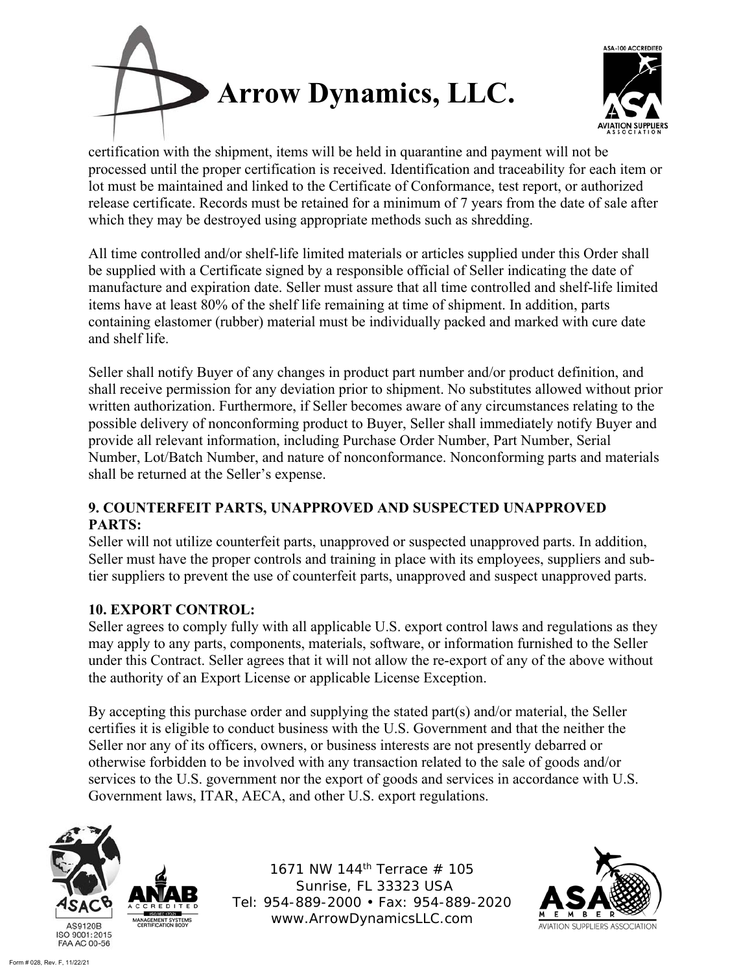



certification with the shipment, items will be held in quarantine and payment will not be processed until the proper certification is received. Identification and traceability for each item or lot must be maintained and linked to the Certificate of Conformance, test report, or authorized release certificate. Records must be retained for a minimum of 7 years from the date of sale after which they may be destroyed using appropriate methods such as shredding.

All time controlled and/or shelf-life limited materials or articles supplied under this Order shall be supplied with a Certificate signed by a responsible official of Seller indicating the date of manufacture and expiration date. Seller must assure that all time controlled and shelf-life limited items have at least 80% of the shelf life remaining at time of shipment. In addition, parts containing elastomer (rubber) material must be individually packed and marked with cure date and shelf life.

Seller shall notify Buyer of any changes in product part number and/or product definition, and shall receive permission for any deviation prior to shipment. No substitutes allowed without prior written authorization. Furthermore, if Seller becomes aware of any circumstances relating to the possible delivery of nonconforming product to Buyer, Seller shall immediately notify Buyer and provide all relevant information, including Purchase Order Number, Part Number, Serial Number, Lot/Batch Number, and nature of nonconformance. Nonconforming parts and materials shall be returned at the Seller's expense.

# **9. COUNTERFEIT PARTS, UNAPPROVED AND SUSPECTED UNAPPROVED PARTS:**

Seller will not utilize counterfeit parts, unapproved or suspected unapproved parts. In addition, Seller must have the proper controls and training in place with its employees, suppliers and subtier suppliers to prevent the use of counterfeit parts, unapproved and suspect unapproved parts.

# **10. EXPORT CONTROL:**

Seller agrees to comply fully with all applicable U.S. export control laws and regulations as they may apply to any parts, components, materials, software, or information furnished to the Seller under this Contract. Seller agrees that it will not allow the re-export of any of the above without the authority of an Export License or applicable License Exception.

By accepting this purchase order and supplying the stated part(s) and/or material, the Seller certifies it is eligible to conduct business with the U.S. Government and that the neither the Seller nor any of its officers, owners, or business interests are not presently debarred or otherwise forbidden to be involved with any transaction related to the sale of goods and/or services to the U.S. government nor the export of goods and services in accordance with U.S. Government laws, ITAR, AECA, and other U.S. export regulations.



1671 NW 144<sup>th</sup> Terrace  $#$  105 Sunrise, FL 33323 USA Tel: 954-889-2000 • Fax: 954-889-2020 www.ArrowDynamicsLLC.com

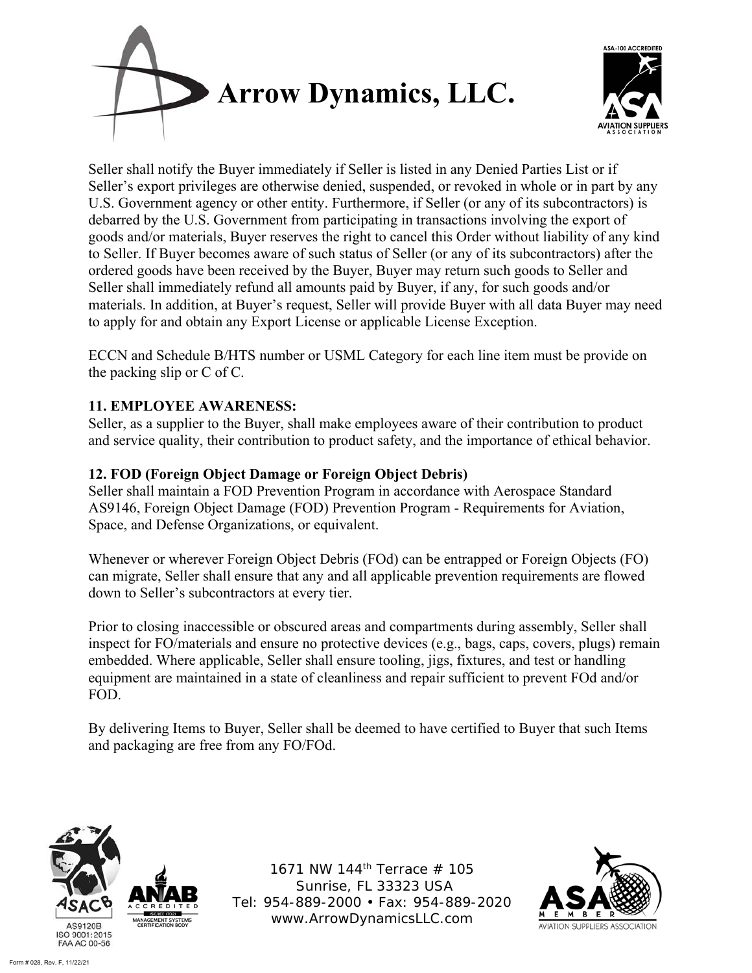



Seller shall notify the Buyer immediately if Seller is listed in any Denied Parties List or if Seller's export privileges are otherwise denied, suspended, or revoked in whole or in part by any U.S. Government agency or other entity. Furthermore, if Seller (or any of its subcontractors) is debarred by the U.S. Government from participating in transactions involving the export of goods and/or materials, Buyer reserves the right to cancel this Order without liability of any kind to Seller. If Buyer becomes aware of such status of Seller (or any of its subcontractors) after the ordered goods have been received by the Buyer, Buyer may return such goods to Seller and Seller shall immediately refund all amounts paid by Buyer, if any, for such goods and/or materials. In addition, at Buyer's request, Seller will provide Buyer with all data Buyer may need to apply for and obtain any Export License or applicable License Exception.

ECCN and Schedule B/HTS number or USML Category for each line item must be provide on the packing slip or C of C.

# **11. EMPLOYEE AWARENESS:**

Seller, as a supplier to the Buyer, shall make employees aware of their contribution to product and service quality, their contribution to product safety, and the importance of ethical behavior.

## **12. FOD (Foreign Object Damage or Foreign Object Debris)**

Seller shall maintain a FOD Prevention Program in accordance with Aerospace Standard AS9146, Foreign Object Damage (FOD) Prevention Program - Requirements for Aviation, Space, and Defense Organizations, or equivalent.

Whenever or wherever Foreign Object Debris (FOd) can be entrapped or Foreign Objects (FO) can migrate, Seller shall ensure that any and all applicable prevention requirements are flowed down to Seller's subcontractors at every tier.

Prior to closing inaccessible or obscured areas and compartments during assembly, Seller shall inspect for FO/materials and ensure no protective devices (e.g., bags, caps, covers, plugs) remain embedded. Where applicable, Seller shall ensure tooling, jigs, fixtures, and test or handling equipment are maintained in a state of cleanliness and repair sufficient to prevent FOd and/or FOD.

By delivering Items to Buyer, Seller shall be deemed to have certified to Buyer that such Items and packaging are free from any FO/FOd.



1671 NW 144<sup>th</sup> Terrace  $#$  105 Sunrise, FL 33323 USA Tel: 954-889-2000 • Fax: 954-889-2020 www.ArrowDynamicsLLC.com